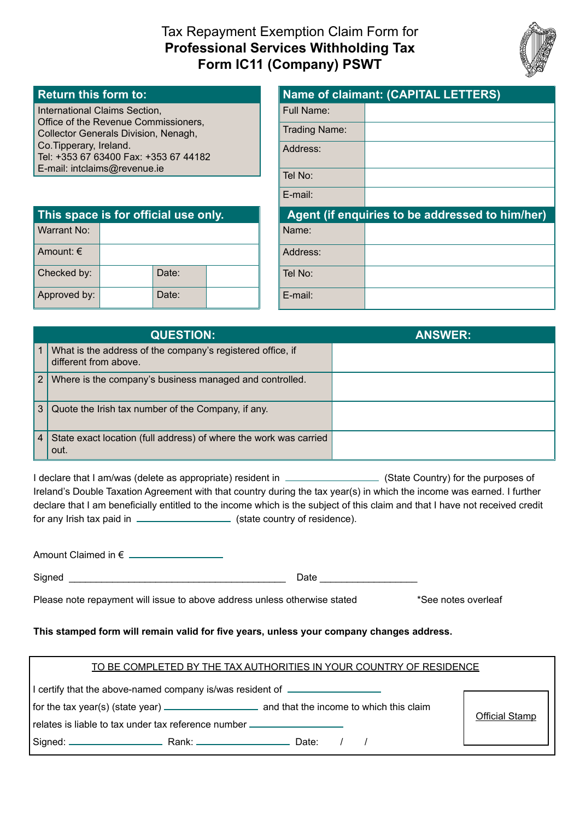# Tax Repayment Exemption Claim Form for **Professional Services Withholding Tax Form IC11 (Company) PSWT**



## **Return this form to:**

International Claims Section, Office of the Revenue Commissioners, Collector Generals Division, Nenagh, Co.Tipperary, Ireland. Tel: +353 67 63400 Fax: +353 67 44182 E-mail: intclaims@revenue.ie

| <b>Name of claimant: (CAPITAL LETTERS)</b> |                                                 |  |  |
|--------------------------------------------|-------------------------------------------------|--|--|
| Full Name:                                 |                                                 |  |  |
| Trading Name:                              |                                                 |  |  |
| Address:                                   |                                                 |  |  |
| Tel No:                                    |                                                 |  |  |
| $E$ -mail:                                 |                                                 |  |  |
|                                            |                                                 |  |  |
|                                            | Agent (if enquiries to be addressed to him/her) |  |  |
| Name:                                      |                                                 |  |  |
| Address:                                   |                                                 |  |  |
| Tel No:                                    |                                                 |  |  |

| This space is for official use only. |  |       |  |  |  |
|--------------------------------------|--|-------|--|--|--|
| Warrant No:                          |  |       |  |  |  |
| Amount: $\epsilon$                   |  |       |  |  |  |
| Checked by:                          |  | Date: |  |  |  |
| Approved by:                         |  | Date: |  |  |  |

|                       | <b>QUESTION:</b>                                                                    | <b>ANSWER:</b> |
|-----------------------|-------------------------------------------------------------------------------------|----------------|
|                       | What is the address of the company's registered office, if<br>different from above. |                |
| $\mathbf{2}^{\prime}$ | Where is the company's business managed and controlled.                             |                |
| 3 <sup>1</sup>        | Quote the Irish tax number of the Company, if any.                                  |                |
| $\overline{4}$        | State exact location (full address) of where the work was carried<br>out.           |                |

I declare that I am/was (delete as appropriate) resident in  $\Box$  (State Country) for the purposes of Ireland's Double Taxation Agreement with that country during the tax year(s) in which the income was earned. I further declare that I am beneficially entitled to the income which is the subject of this claim and that I have not received credit for any Irish tax paid in  $\frac{1}{\sqrt{1-\frac{1}{\sqrt{1-\frac{1}{\sqrt{1-\frac{1}{\sqrt{1-\frac{1}{\sqrt{1-\frac{1}{\sqrt{1-\frac{1}{\sqrt{1-\frac{1}{\sqrt{1-\frac{1}{\sqrt{1-\frac{1}{\sqrt{1-\frac{1}{\sqrt{1-\frac{1}{\sqrt{1-\frac{1}{\sqrt{1-\frac{1}{\sqrt{1-\frac{1}{\sqrt{1-\frac{1}{\sqrt{1-\frac{1}{\sqrt{1-\frac{1}{\sqrt{1-\frac{1}{\sqrt{1-\frac{1}{\sqrt{1-\frac{1}{\sqrt{1-\frac{1}{\$ 

Amount Claimed in €

Signed \_\_\_\_\_\_\_\_\_\_\_\_\_\_\_\_\_\_\_\_\_\_\_\_\_\_\_\_\_\_\_\_\_\_\_\_\_\_\_\_ Date \_\_\_\_\_\_\_\_\_\_\_\_\_\_\_\_\_\_

Please note repayment will issue to above address unless otherwise stated \*See notes overleaf

#### **This stamped form will remain valid for five years, unless your company changes address.**

| TO BE COMPLETED BY THE TAX AUTHORITIES IN YOUR COUNTRY OF RESIDENCE |  |
|---------------------------------------------------------------------|--|
|                                                                     |  |

I certify that the above-named company is/was resident of  $\sqrt{ }$ 

for the tax year(s) (state year) \_\_\_\_\_\_\_\_\_\_\_\_\_\_\_\_\_\_\_\_\_\_\_\_\_ and that the income to which this claim

Official Stamp

Signed: Rank: Date: / /

relates is liable to tax under tax reference number